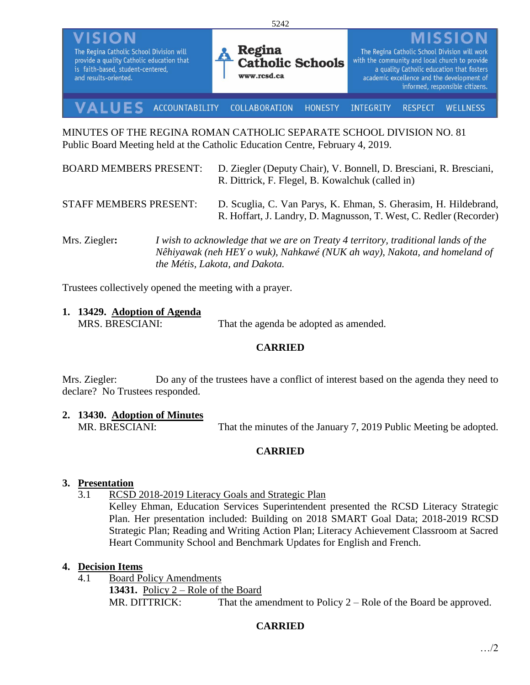

MINUTES OF THE REGINA ROMAN CATHOLIC SEPARATE SCHOOL DIVISION NO. 81 Public Board Meeting held at the Catholic Education Centre, February 4, 2019.

| <b>BOARD MEMBERS PRESENT:</b> | D. Ziegler (Deputy Chair), V. Bonnell, D. Bresciani, R. Bresciani,<br>R. Dittrick, F. Flegel, B. Kowalchuk (called in)                                        |
|-------------------------------|---------------------------------------------------------------------------------------------------------------------------------------------------------------|
| <b>STAFF MEMBERS PRESENT:</b> | D. Scuglia, C. Van Parys, K. Ehman, S. Gherasim, H. Hildebrand,<br>R. Hoffart, J. Landry, D. Magnusson, T. West, C. Redler (Recorder)                         |
| Mrs. Ziegler:                 | I wish to acknowledge that we are on Treaty 4 territory, traditional lands of the<br>Nêhiyawak (neh HEY o wuk), Nahkawé (NUK ah way), Nakota, and homeland of |

Trustees collectively opened the meeting with a prayer.

**1. 13429. Adoption of Agenda** MRS. BRESCIANI: That the agenda be adopted as amended.

*the Métis, Lakota, and Dakota.*

#### **CARRIED**

Mrs. Ziegler: Do any of the trustees have a conflict of interest based on the agenda they need to declare? No Trustees responded.

#### **2. 13430. Adoption of Minutes**

MR. BRESCIANI: That the minutes of the January 7, 2019 Public Meeting be adopted.

### **CARRIED**

### **3. Presentation**

3.1 RCSD 2018-2019 Literacy Goals and Strategic Plan

Kelley Ehman, Education Services Superintendent presented the RCSD Literacy Strategic Plan. Her presentation included: Building on 2018 SMART Goal Data; 2018-2019 RCSD Strategic Plan; Reading and Writing Action Plan; Literacy Achievement Classroom at Sacred Heart Community School and Benchmark Updates for English and French.

### **4. Decision Items**

4.1 Board Policy Amendments **13431.** Policy 2 – Role of the Board MR. DITTRICK: That the amendment to Policy 2 – Role of the Board be approved.

# **CARRIED**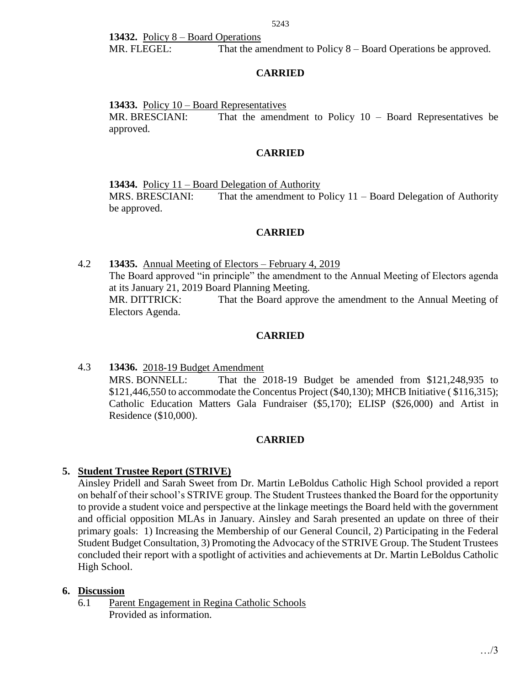**13432.** Policy 8 – Board Operations MR. FLEGEL: That the amendment to Policy 8 – Board Operations be approved.

### **CARRIED**

**13433.** Policy 10 – Board Representatives

MR. BRESCIANI: That the amendment to Policy 10 – Board Representatives be approved.

# **CARRIED**

**13434.** Policy 11 – Board Delegation of Authority MRS. BRESCIANI: That the amendment to Policy 11 – Board Delegation of Authority be approved.

### **CARRIED**

4.2 **13435.** Annual Meeting of Electors – February 4, 2019 The Board approved "in principle" the amendment to the Annual Meeting of Electors agenda at its January 21, 2019 Board Planning Meeting. MR. DITTRICK: That the Board approve the amendment to the Annual Meeting of Electors Agenda.

# **CARRIED**

4.3 **13436.** 2018-19 Budget Amendment MRS. BONNELL: That the 2018-19 Budget be amended from \$121,248,935 to \$121,446,550 to accommodate the Concentus Project (\$40,130); MHCB Initiative ( \$116,315); Catholic Education Matters Gala Fundraiser (\$5,170); ELISP (\$26,000) and Artist in Residence (\$10,000).

### **CARRIED**

# **5. Student Trustee Report (STRIVE)**

Ainsley Pridell and Sarah Sweet from Dr. Martin LeBoldus Catholic High School provided a report on behalf of their school's STRIVE group. The Student Trustees thanked the Board for the opportunity to provide a student voice and perspective at the linkage meetings the Board held with the government and official opposition MLAs in January. Ainsley and Sarah presented an update on three of their primary goals: 1) Increasing the Membership of our General Council, 2) Participating in the Federal Student Budget Consultation, 3) Promoting the Advocacy of the STRIVE Group. The Student Trustees concluded their report with a spotlight of activities and achievements at Dr. Martin LeBoldus Catholic High School.

### **6. Discussion**

6.1 Parent Engagement in Regina Catholic Schools Provided as information.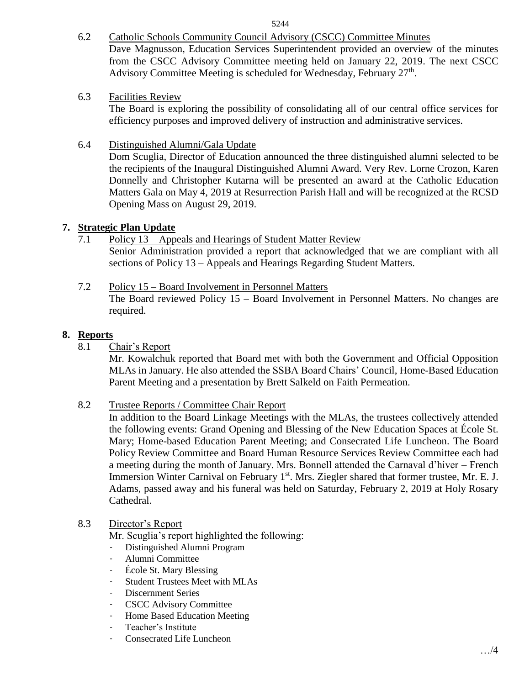6.2 Catholic Schools Community Council Advisory (CSCC) Committee Minutes Dave Magnusson, Education Services Superintendent provided an overview of the minutes from the CSCC Advisory Committee meeting held on January 22, 2019. The next CSCC Advisory Committee Meeting is scheduled for Wednesday, February  $27<sup>th</sup>$ .

6.3 Facilities Review

The Board is exploring the possibility of consolidating all of our central office services for efficiency purposes and improved delivery of instruction and administrative services.

6.4 Distinguished Alumni/Gala Update

Dom Scuglia, Director of Education announced the three distinguished alumni selected to be the recipients of the Inaugural Distinguished Alumni Award. Very Rev. Lorne Crozon, Karen Donnelly and Christopher Kutarna will be presented an award at the Catholic Education Matters Gala on May 4, 2019 at Resurrection Parish Hall and will be recognized at the RCSD Opening Mass on August 29, 2019.

#### **7. Strategic Plan Update**

- 7.1 Policy 13 Appeals and Hearings of Student Matter Review Senior Administration provided a report that acknowledged that we are compliant with all sections of Policy 13 – Appeals and Hearings Regarding Student Matters.
- 7.2 Policy 15 Board Involvement in Personnel Matters The Board reviewed Policy 15 – Board Involvement in Personnel Matters. No changes are required.

#### **8. Reports**

8.1 Chair's Report

Mr. Kowalchuk reported that Board met with both the Government and Official Opposition MLAs in January. He also attended the SSBA Board Chairs' Council, Home-Based Education Parent Meeting and a presentation by Brett Salkeld on Faith Permeation.

8.2 Trustee Reports / Committee Chair Report

In addition to the Board Linkage Meetings with the MLAs, the trustees collectively attended the following events: Grand Opening and Blessing of the New Education Spaces at École St. Mary; Home-based Education Parent Meeting; and Consecrated Life Luncheon. The Board Policy Review Committee and Board Human Resource Services Review Committee each had a meeting during the month of January. Mrs. Bonnell attended the Carnaval d'hiver – French Immersion Winter Carnival on February 1<sup>st</sup>. Mrs. Ziegler shared that former trustee, Mr. E. J. Adams, passed away and his funeral was held on Saturday, February 2, 2019 at Holy Rosary Cathedral.

#### 8.3 Director's Report

Mr. Scuglia's report highlighted the following:

- Distinguished Alumni Program
- Alumni Committee
- École St. Mary Blessing
- Student Trustees Meet with MLAs
- Discernment Series
- CSCC Advisory Committee
- Home Based Education Meeting
- Teacher's Institute
- Consecrated Life Luncheon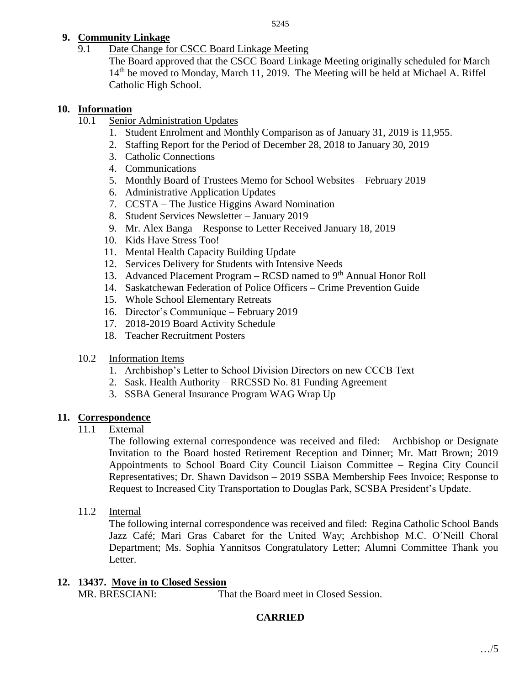# **9. Community Linkage**

9.1 Date Change for CSCC Board Linkage Meeting

The Board approved that the CSCC Board Linkage Meeting originally scheduled for March 14<sup>th</sup> be moved to Monday, March 11, 2019. The Meeting will be held at Michael A. Riffel Catholic High School.

### **10. Information**

- 10.1 Senior Administration Updates
	- 1. Student Enrolment and Monthly Comparison as of January 31, 2019 is 11,955.
	- 2. Staffing Report for the Period of December 28, 2018 to January 30, 2019
	- 3. Catholic Connections
	- 4. Communications
	- 5. Monthly Board of Trustees Memo for School Websites February 2019
	- 6. Administrative Application Updates
	- 7. CCSTA The Justice Higgins Award Nomination
	- 8. Student Services Newsletter January 2019
	- 9. Mr. Alex Banga Response to Letter Received January 18, 2019
	- 10. Kids Have Stress Too!
	- 11. Mental Health Capacity Building Update
	- 12. Services Delivery for Students with Intensive Needs
	- 13. Advanced Placement Program RCSD named to  $9<sup>th</sup>$  Annual Honor Roll
	- 14. Saskatchewan Federation of Police Officers Crime Prevention Guide
	- 15. Whole School Elementary Retreats
	- 16. Director's Communique February 2019
	- 17. 2018-2019 Board Activity Schedule
	- 18. Teacher Recruitment Posters
- 10.2 Information Items
	- 1. Archbishop's Letter to School Division Directors on new CCCB Text
	- 2. Sask. Health Authority RRCSSD No. 81 Funding Agreement
	- 3. SSBA General Insurance Program WAG Wrap Up

# **11. Correspondence**

11.1 External

The following external correspondence was received and filed: Archbishop or Designate Invitation to the Board hosted Retirement Reception and Dinner; Mr. Matt Brown; 2019 Appointments to School Board City Council Liaison Committee – Regina City Council Representatives; Dr. Shawn Davidson – 2019 SSBA Membership Fees Invoice; Response to Request to Increased City Transportation to Douglas Park, SCSBA President's Update.

11.2 Internal

The following internal correspondence was received and filed: Regina Catholic School Bands Jazz Café; Mari Gras Cabaret for the United Way; Archbishop M.C. O'Neill Choral Department; Ms. Sophia Yannitsos Congratulatory Letter; Alumni Committee Thank you Letter.

**12. 13437. Move in to Closed Session** MR. BRESCIANI: That the Board meet in Closed Session.

# **CARRIED**